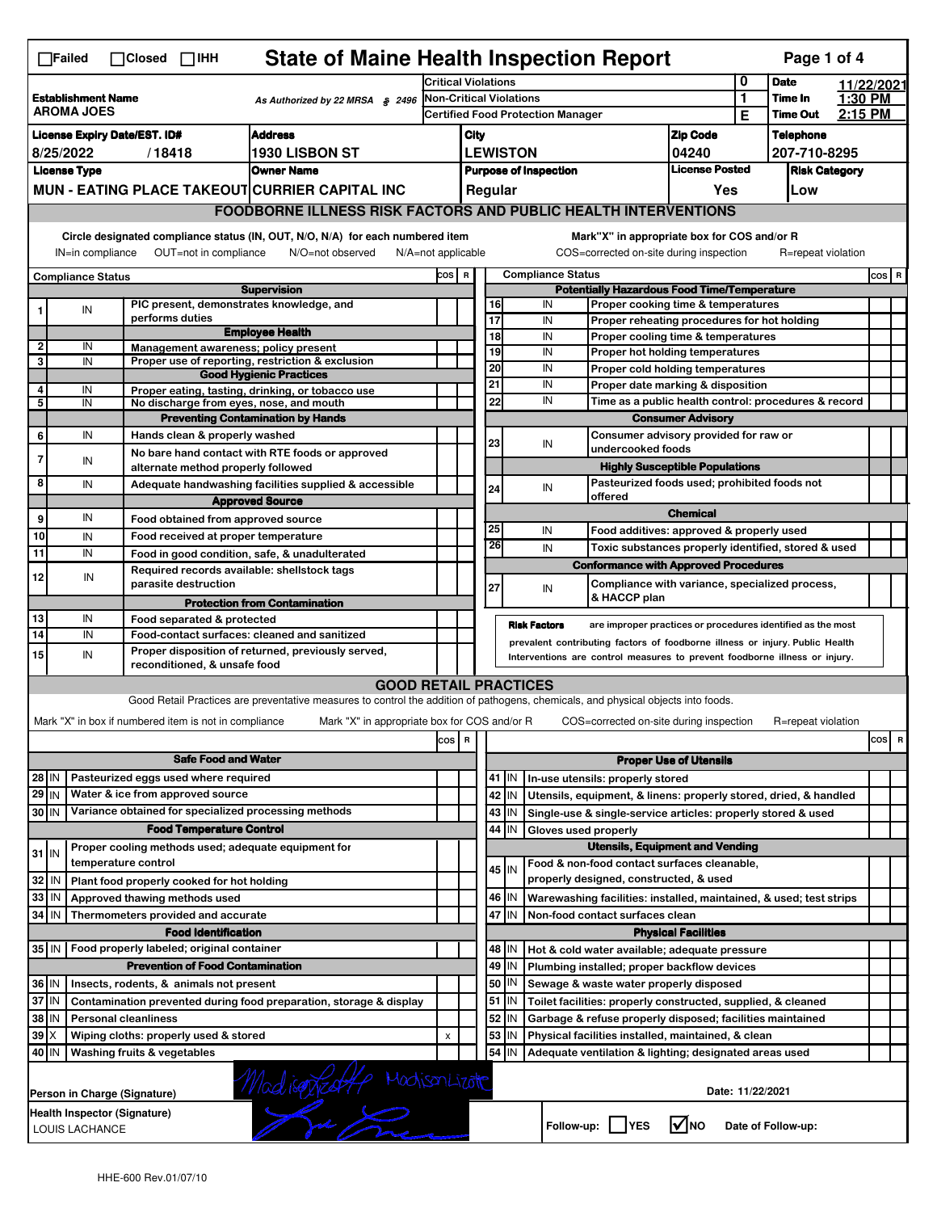|                                                                                                                                                                                                                                                                                           | <b>State of Maine Health Inspection Report</b><br>Page 1 of 4<br>$\Box$ Failed<br>$\Box$ Closed $\Box$ IHH |    |                                                                                                                                                                                                                    |                                                                                                                                   |                            |                                                               |                                                                                          |                                                                                            |                      |                                                                                   |         |                                |                    |         |     |   |
|-------------------------------------------------------------------------------------------------------------------------------------------------------------------------------------------------------------------------------------------------------------------------------------------|------------------------------------------------------------------------------------------------------------|----|--------------------------------------------------------------------------------------------------------------------------------------------------------------------------------------------------------------------|-----------------------------------------------------------------------------------------------------------------------------------|----------------------------|---------------------------------------------------------------|------------------------------------------------------------------------------------------|--------------------------------------------------------------------------------------------|----------------------|-----------------------------------------------------------------------------------|---------|--------------------------------|--------------------|---------|-----|---|
|                                                                                                                                                                                                                                                                                           |                                                                                                            |    |                                                                                                                                                                                                                    |                                                                                                                                   | <b>Critical Violations</b> |                                                               |                                                                                          |                                                                                            |                      |                                                                                   |         | 0<br><b>Date</b><br>11/22/2021 |                    |         |     |   |
| <b>Establishment Name</b><br>As Authorized by 22 MRSA § 2496<br><b>AROMA JOES</b>                                                                                                                                                                                                         |                                                                                                            |    | Non-Critical Violations<br><b>Certified Food Protection Manager</b>                                                                                                                                                |                                                                                                                                   |                            |                                                               |                                                                                          |                                                                                            | 1                    | Time In                                                                           | 1:30 PM |                                |                    |         |     |   |
|                                                                                                                                                                                                                                                                                           |                                                                                                            |    |                                                                                                                                                                                                                    |                                                                                                                                   |                            |                                                               |                                                                                          |                                                                                            |                      |                                                                                   | Е       | <b>Time Out</b>                | 2:15 PM            |         |     |   |
| <b>Address</b><br><b>License Expiry Date/EST. ID#</b>                                                                                                                                                                                                                                     |                                                                                                            |    |                                                                                                                                                                                                                    |                                                                                                                                   | City                       |                                                               |                                                                                          |                                                                                            |                      | <b>Zip Code</b>                                                                   |         | <b>Telephone</b>               |                    |         |     |   |
| 1930 LISBON ST<br>8/25/2022<br>/18418                                                                                                                                                                                                                                                     |                                                                                                            |    |                                                                                                                                                                                                                    |                                                                                                                                   | <b>LEWISTON</b><br>04240   |                                                               |                                                                                          |                                                                                            |                      |                                                                                   |         | 207-710-8295                   |                    |         |     |   |
|                                                                                                                                                                                                                                                                                           | <b>License Type</b>                                                                                        |    |                                                                                                                                                                                                                    | <b>Owner Name</b>                                                                                                                 |                            | <b>License Posted</b><br><b>Purpose of Inspection</b>         |                                                                                          |                                                                                            |                      |                                                                                   |         | <b>Risk Category</b>           |                    |         |     |   |
|                                                                                                                                                                                                                                                                                           |                                                                                                            |    |                                                                                                                                                                                                                    | MUN - EATING PLACE TAKEOUT CURRIER CAPITAL INC                                                                                    |                            |                                                               |                                                                                          | Regular                                                                                    |                      |                                                                                   | Yes     |                                | Low                |         |     |   |
|                                                                                                                                                                                                                                                                                           | <b>FOODBORNE ILLNESS RISK FACTORS AND PUBLIC HEALTH INTERVENTIONS</b>                                      |    |                                                                                                                                                                                                                    |                                                                                                                                   |                            |                                                               |                                                                                          |                                                                                            |                      |                                                                                   |         |                                |                    |         |     |   |
| Circle designated compliance status (IN, OUT, N/O, N/A) for each numbered item<br>Mark"X" in appropriate box for COS and/or R<br>OUT=not in compliance<br>COS=corrected on-site during inspection<br>R=repeat violation<br>IN=in compliance<br>N/O=not observed<br>$N/A = not$ applicable |                                                                                                            |    |                                                                                                                                                                                                                    |                                                                                                                                   |                            |                                                               |                                                                                          |                                                                                            |                      |                                                                                   |         |                                |                    |         |     |   |
| <b>Compliance Status</b>                                                                                                                                                                                                                                                                  |                                                                                                            |    |                                                                                                                                                                                                                    |                                                                                                                                   |                            | <b>Compliance Status</b><br>COS R                             |                                                                                          |                                                                                            |                      |                                                                                   |         |                                |                    | $cos$ R |     |   |
| <b>Supervision</b>                                                                                                                                                                                                                                                                        |                                                                                                            |    |                                                                                                                                                                                                                    |                                                                                                                                   |                            |                                                               | <b>Potentially Hazardous Food Time/Temperature</b><br>Proper cooking time & temperatures |                                                                                            |                      |                                                                                   |         |                                |                    |         |     |   |
|                                                                                                                                                                                                                                                                                           | IN                                                                                                         |    | PIC present, demonstrates knowledge, and<br>performs duties                                                                                                                                                        |                                                                                                                                   |                            |                                                               | $\overline{17}$                                                                          | 16                                                                                         | IN<br>IN             |                                                                                   |         |                                |                    |         |     |   |
|                                                                                                                                                                                                                                                                                           |                                                                                                            |    |                                                                                                                                                                                                                    | <b>Employee Health</b>                                                                                                            |                            |                                                               | 18                                                                                       |                                                                                            | IN                   | Proper reheating procedures for hot holding<br>Proper cooling time & temperatures |         |                                |                    |         |     |   |
| 2                                                                                                                                                                                                                                                                                         | IN                                                                                                         |    | Management awareness: policy present                                                                                                                                                                               |                                                                                                                                   |                            |                                                               |                                                                                          | 19                                                                                         | IN                   | Proper hot holding temperatures                                                   |         |                                |                    |         |     |   |
| 3                                                                                                                                                                                                                                                                                         | IN                                                                                                         |    |                                                                                                                                                                                                                    | Proper use of reporting, restriction & exclusion                                                                                  |                            |                                                               | $\overline{20}$                                                                          |                                                                                            | IN                   | Proper cold holding temperatures                                                  |         |                                |                    |         |     |   |
| 4                                                                                                                                                                                                                                                                                         | IN                                                                                                         |    |                                                                                                                                                                                                                    | <b>Good Hygienic Practices</b><br>Proper eating, tasting, drinking, or tobacco use                                                |                            |                                                               | 21                                                                                       |                                                                                            | IN                   | Proper date marking & disposition                                                 |         |                                |                    |         |     |   |
| 5                                                                                                                                                                                                                                                                                         | IN                                                                                                         |    | No discharge from eyes, nose, and mouth                                                                                                                                                                            |                                                                                                                                   |                            |                                                               | 22                                                                                       |                                                                                            | IN                   | Time as a public health control: procedures & record                              |         |                                |                    |         |     |   |
|                                                                                                                                                                                                                                                                                           |                                                                                                            |    |                                                                                                                                                                                                                    | <b>Preventing Contamination by Hands</b>                                                                                          |                            |                                                               |                                                                                          |                                                                                            |                      | <b>Consumer Advisory</b>                                                          |         |                                |                    |         |     |   |
| 6                                                                                                                                                                                                                                                                                         | IN                                                                                                         |    | Hands clean & properly washed                                                                                                                                                                                      |                                                                                                                                   |                            |                                                               | 23                                                                                       |                                                                                            | IN                   | Consumer advisory provided for raw or                                             |         |                                |                    |         |     |   |
| 7                                                                                                                                                                                                                                                                                         | IN                                                                                                         |    |                                                                                                                                                                                                                    | No bare hand contact with RTE foods or approved                                                                                   |                            |                                                               |                                                                                          |                                                                                            |                      | undercooked foods                                                                 |         |                                |                    |         |     |   |
|                                                                                                                                                                                                                                                                                           |                                                                                                            |    | alternate method properly followed                                                                                                                                                                                 |                                                                                                                                   |                            |                                                               |                                                                                          |                                                                                            |                      | <b>Highly Susceptible Populations</b>                                             |         |                                |                    |         |     |   |
| 8                                                                                                                                                                                                                                                                                         | IN                                                                                                         |    | Adequate handwashing facilities supplied & accessible                                                                                                                                                              |                                                                                                                                   |                            |                                                               | 24                                                                                       |                                                                                            | IN                   | Pasteurized foods used; prohibited foods not<br>offered                           |         |                                |                    |         |     |   |
|                                                                                                                                                                                                                                                                                           | IN                                                                                                         |    |                                                                                                                                                                                                                    | <b>Approved Source</b>                                                                                                            |                            |                                                               | <b>Chemical</b>                                                                          |                                                                                            |                      |                                                                                   |         |                                |                    |         |     |   |
| 9                                                                                                                                                                                                                                                                                         |                                                                                                            |    | Food obtained from approved source                                                                                                                                                                                 |                                                                                                                                   |                            |                                                               | 25                                                                                       |                                                                                            | IN                   | Food additives: approved & properly used                                          |         |                                |                    |         |     |   |
| 10<br>11                                                                                                                                                                                                                                                                                  | IN<br>IN                                                                                                   |    | Food received at proper temperature                                                                                                                                                                                |                                                                                                                                   |                            |                                                               |                                                                                          | 26                                                                                         | IN                   | Toxic substances properly identified, stored & used                               |         |                                |                    |         |     |   |
|                                                                                                                                                                                                                                                                                           |                                                                                                            |    | Food in good condition, safe, & unadulterated<br>Required records available: shellstock tags                                                                                                                       |                                                                                                                                   |                            |                                                               |                                                                                          |                                                                                            |                      | <b>Conformance with Approved Procedures</b>                                       |         |                                |                    |         |     |   |
| 12                                                                                                                                                                                                                                                                                        |                                                                                                            | IN | parasite destruction                                                                                                                                                                                               |                                                                                                                                   |                            |                                                               | 27                                                                                       |                                                                                            | IN                   | Compliance with variance, specialized process,                                    |         |                                |                    |         |     |   |
|                                                                                                                                                                                                                                                                                           |                                                                                                            |    |                                                                                                                                                                                                                    | <b>Protection from Contamination</b>                                                                                              |                            |                                                               |                                                                                          |                                                                                            |                      | & HACCP plan                                                                      |         |                                |                    |         |     |   |
| 13                                                                                                                                                                                                                                                                                        | IN                                                                                                         |    | Food separated & protected                                                                                                                                                                                         |                                                                                                                                   |                            |                                                               |                                                                                          |                                                                                            |                      |                                                                                   |         |                                |                    |         |     |   |
| 14                                                                                                                                                                                                                                                                                        | IN                                                                                                         |    | <b>Risk Factors</b><br>are improper practices or procedures identified as the most<br>Food-contact surfaces: cleaned and sanitized<br>prevalent contributing factors of foodborne illness or injury. Public Health |                                                                                                                                   |                            |                                                               |                                                                                          |                                                                                            |                      |                                                                                   |         |                                |                    |         |     |   |
| 15                                                                                                                                                                                                                                                                                        | IN                                                                                                         |    |                                                                                                                                                                                                                    | Proper disposition of returned, previously served,                                                                                |                            |                                                               |                                                                                          |                                                                                            |                      | Interventions are control measures to prevent foodborne illness or injury.        |         |                                |                    |         |     |   |
|                                                                                                                                                                                                                                                                                           |                                                                                                            |    | reconditioned, & unsafe food                                                                                                                                                                                       |                                                                                                                                   |                            |                                                               |                                                                                          |                                                                                            |                      |                                                                                   |         |                                |                    |         |     |   |
|                                                                                                                                                                                                                                                                                           |                                                                                                            |    |                                                                                                                                                                                                                    | <b>GOOD RETAIL PRACTICES</b>                                                                                                      |                            |                                                               |                                                                                          |                                                                                            |                      |                                                                                   |         |                                |                    |         |     |   |
|                                                                                                                                                                                                                                                                                           |                                                                                                            |    |                                                                                                                                                                                                                    | Good Retail Practices are preventative measures to control the addition of pathogens, chemicals, and physical objects into foods. |                            |                                                               |                                                                                          |                                                                                            |                      |                                                                                   |         |                                |                    |         |     |   |
|                                                                                                                                                                                                                                                                                           |                                                                                                            |    | Mark "X" in box if numbered item is not in compliance                                                                                                                                                              | Mark "X" in appropriate box for COS and/or R                                                                                      |                            |                                                               |                                                                                          |                                                                                            |                      | COS=corrected on-site during inspection                                           |         |                                | R=repeat violation |         |     |   |
|                                                                                                                                                                                                                                                                                           |                                                                                                            |    |                                                                                                                                                                                                                    |                                                                                                                                   | cos                        | R                                                             |                                                                                          |                                                                                            |                      |                                                                                   |         |                                |                    |         | cos | R |
| <b>Safe Food and Water</b>                                                                                                                                                                                                                                                                |                                                                                                            |    |                                                                                                                                                                                                                    |                                                                                                                                   |                            |                                                               |                                                                                          |                                                                                            |                      | <b>Proper Use of Utensils</b>                                                     |         |                                |                    |         |     |   |
| 28 IN                                                                                                                                                                                                                                                                                     |                                                                                                            |    | Pasteurized eggs used where required                                                                                                                                                                               |                                                                                                                                   |                            |                                                               |                                                                                          | 41   IN                                                                                    |                      | In-use utensils: properly stored                                                  |         |                                |                    |         |     |   |
| 29 IN                                                                                                                                                                                                                                                                                     |                                                                                                            |    | Water & ice from approved source                                                                                                                                                                                   |                                                                                                                                   |                            |                                                               |                                                                                          | 42 IN                                                                                      |                      | Utensils, equipment, & linens: properly stored, dried, & handled                  |         |                                |                    |         |     |   |
| 30 IN                                                                                                                                                                                                                                                                                     |                                                                                                            |    | Variance obtained for specialized processing methods                                                                                                                                                               |                                                                                                                                   |                            |                                                               |                                                                                          | 43   IN                                                                                    |                      | Single-use & single-service articles: properly stored & used                      |         |                                |                    |         |     |   |
|                                                                                                                                                                                                                                                                                           |                                                                                                            |    | <b>Food Temperature Control</b>                                                                                                                                                                                    |                                                                                                                                   |                            |                                                               |                                                                                          | 44<br>IN                                                                                   | Gloves used properly |                                                                                   |         |                                |                    |         |     |   |
| $31$ IN                                                                                                                                                                                                                                                                                   |                                                                                                            |    | Proper cooling methods used; adequate equipment for                                                                                                                                                                |                                                                                                                                   |                            |                                                               |                                                                                          |                                                                                            |                      | <b>Utensils, Equipment and Vending</b>                                            |         |                                |                    |         |     |   |
|                                                                                                                                                                                                                                                                                           |                                                                                                            |    | temperature control                                                                                                                                                                                                |                                                                                                                                   |                            |                                                               |                                                                                          | 45 IN                                                                                      |                      | Food & non-food contact surfaces cleanable,                                       |         |                                |                    |         |     |   |
| 32                                                                                                                                                                                                                                                                                        | IN                                                                                                         |    | Plant food properly cooked for hot holding                                                                                                                                                                         |                                                                                                                                   |                            |                                                               |                                                                                          |                                                                                            |                      | properly designed, constructed, & used                                            |         |                                |                    |         |     |   |
| 33<br>34                                                                                                                                                                                                                                                                                  | IN<br>l IN                                                                                                 |    | Approved thawing methods used<br>Thermometers provided and accurate                                                                                                                                                |                                                                                                                                   |                            |                                                               |                                                                                          | 46   IN<br>Warewashing facilities: installed, maintained, & used; test strips<br>47<br>İΙN |                      |                                                                                   |         |                                |                    |         |     |   |
|                                                                                                                                                                                                                                                                                           |                                                                                                            |    | <b>Food Identification</b>                                                                                                                                                                                         |                                                                                                                                   |                            | Non-food contact surfaces clean<br><b>Physical Facilities</b> |                                                                                          |                                                                                            |                      |                                                                                   |         |                                |                    |         |     |   |
| 35   IN                                                                                                                                                                                                                                                                                   |                                                                                                            |    | Food properly labeled; original container                                                                                                                                                                          |                                                                                                                                   |                            |                                                               |                                                                                          | 48<br>IN                                                                                   |                      | Hot & cold water available; adequate pressure                                     |         |                                |                    |         |     |   |
|                                                                                                                                                                                                                                                                                           |                                                                                                            |    | <b>Prevention of Food Contamination</b>                                                                                                                                                                            |                                                                                                                                   |                            |                                                               |                                                                                          | 49<br>IN                                                                                   |                      | Plumbing installed; proper backflow devices                                       |         |                                |                    |         |     |   |
| 36 IN                                                                                                                                                                                                                                                                                     |                                                                                                            |    | Insects, rodents, & animals not present                                                                                                                                                                            |                                                                                                                                   |                            |                                                               |                                                                                          | 50<br>  IN                                                                                 |                      | Sewage & waste water properly disposed                                            |         |                                |                    |         |     |   |
| 37 IN                                                                                                                                                                                                                                                                                     |                                                                                                            |    |                                                                                                                                                                                                                    | Contamination prevented during food preparation, storage & display                                                                |                            |                                                               |                                                                                          | 51   IN                                                                                    |                      | Toilet facilities: properly constructed, supplied, & cleaned                      |         |                                |                    |         |     |   |
| 38<br>ΙM<br><b>Personal cleanliness</b>                                                                                                                                                                                                                                                   |                                                                                                            |    |                                                                                                                                                                                                                    |                                                                                                                                   |                            |                                                               |                                                                                          | 52<br>IN                                                                                   |                      | Garbage & refuse properly disposed; facilities maintained                         |         |                                |                    |         |     |   |
| 39<br>Wiping cloths: properly used & stored<br>IХ                                                                                                                                                                                                                                         |                                                                                                            |    |                                                                                                                                                                                                                    |                                                                                                                                   | x                          |                                                               |                                                                                          | 53<br>IN                                                                                   |                      | Physical facilities installed, maintained, & clean                                |         |                                |                    |         |     |   |
| 40 IN                                                                                                                                                                                                                                                                                     |                                                                                                            |    | Washing fruits & vegetables                                                                                                                                                                                        |                                                                                                                                   |                            |                                                               |                                                                                          | 54 I IN                                                                                    |                      | Adequate ventilation & lighting; designated areas used                            |         |                                |                    |         |     |   |
|                                                                                                                                                                                                                                                                                           |                                                                                                            |    |                                                                                                                                                                                                                    |                                                                                                                                   |                            |                                                               |                                                                                          |                                                                                            |                      |                                                                                   |         |                                |                    |         |     |   |
|                                                                                                                                                                                                                                                                                           |                                                                                                            |    |                                                                                                                                                                                                                    | Madienzalle Modismuzate                                                                                                           |                            |                                                               |                                                                                          |                                                                                            |                      |                                                                                   |         |                                | Date: 11/22/2021   |         |     |   |
|                                                                                                                                                                                                                                                                                           |                                                                                                            |    | Person in Charge (Signature)                                                                                                                                                                                       |                                                                                                                                   |                            |                                                               |                                                                                          |                                                                                            |                      |                                                                                   |         |                                |                    |         |     |   |
|                                                                                                                                                                                                                                                                                           |                                                                                                            |    | Health Inspector (Signature)                                                                                                                                                                                       |                                                                                                                                   |                            |                                                               |                                                                                          |                                                                                            | Follow-up:           | <b>YES</b>                                                                        | l√lno   |                                | Date of Follow-up: |         |     |   |
|                                                                                                                                                                                                                                                                                           | LOUIS LACHANCE                                                                                             |    |                                                                                                                                                                                                                    |                                                                                                                                   |                            |                                                               |                                                                                          |                                                                                            |                      |                                                                                   |         |                                |                    |         |     |   |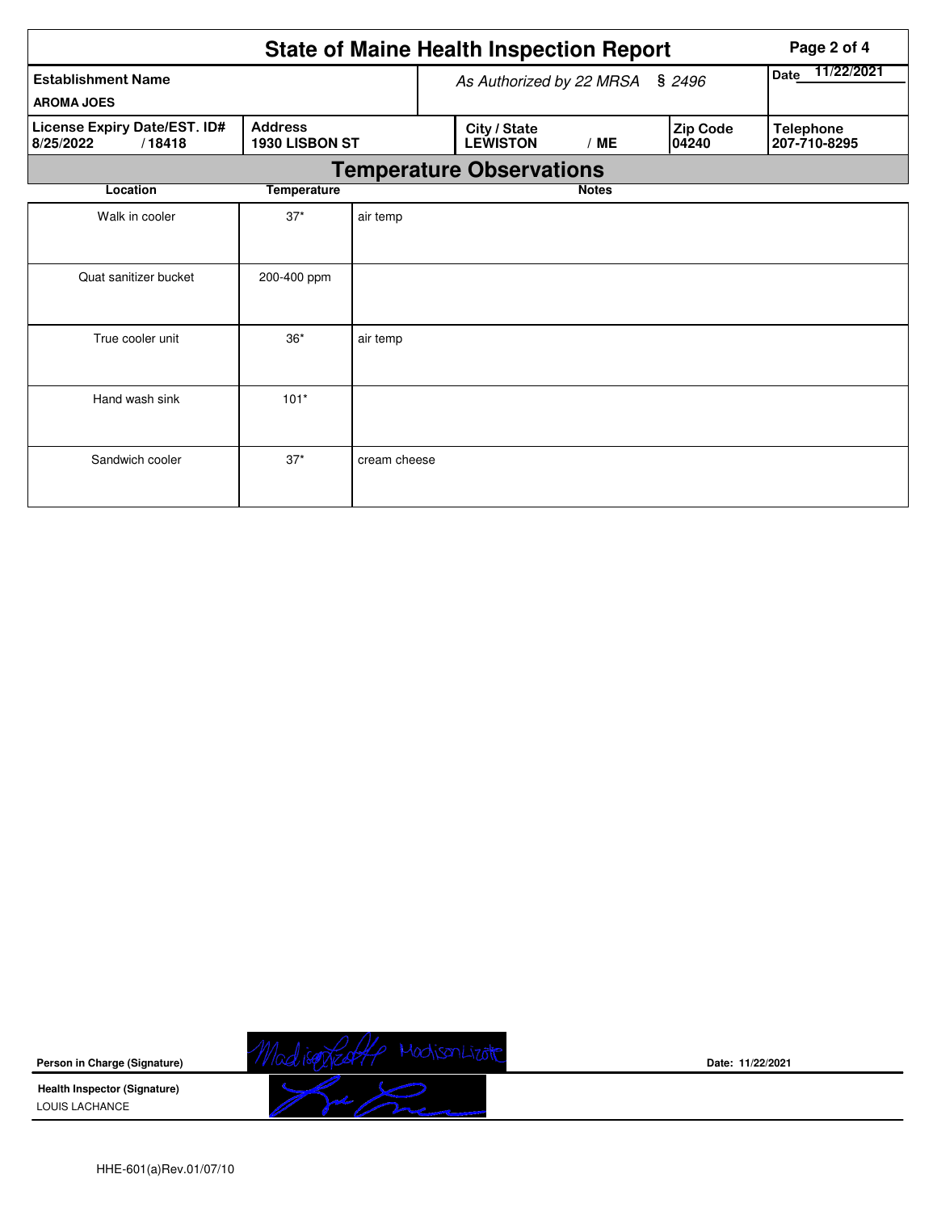|                                                     |                                  |              |                                        | <b>State of Maine Health Inspection Report</b> | Page 2 of 4  |                    |                                  |  |  |
|-----------------------------------------------------|----------------------------------|--------------|----------------------------------------|------------------------------------------------|--------------|--------------------|----------------------------------|--|--|
| <b>Establishment Name</b>                           | As Authorized by 22 MRSA § 2496  |              |                                        |                                                |              | 11/22/2021<br>Date |                                  |  |  |
| <b>AROMA JOES</b>                                   |                                  |              |                                        |                                                |              |                    |                                  |  |  |
| License Expiry Date/EST. ID#<br>/18418<br>8/25/2022 | <b>Address</b><br>1930 LISBON ST |              | City / State<br><b>LEWISTON</b><br>/ME |                                                |              | Zip Code<br>04240  | <b>Telephone</b><br>207-710-8295 |  |  |
|                                                     | <b>Temperature Observations</b>  |              |                                        |                                                |              |                    |                                  |  |  |
| Location                                            | <b>Temperature</b>               |              |                                        |                                                | <b>Notes</b> |                    |                                  |  |  |
| Walk in cooler                                      | $37*$                            | air temp     |                                        |                                                |              |                    |                                  |  |  |
| Quat sanitizer bucket                               | 200-400 ppm                      |              |                                        |                                                |              |                    |                                  |  |  |
| True cooler unit                                    | $36*$                            | air temp     |                                        |                                                |              |                    |                                  |  |  |
| Hand wash sink                                      | $101*$                           |              |                                        |                                                |              |                    |                                  |  |  |
| Sandwich cooler                                     | $37*$                            | cream cheese |                                        |                                                |              |                    |                                  |  |  |

MadisoRed4 MadisonLizate **Person in Charge (Signature) Health Inspector (Signature)**  D LOUIS LACHANCE

**Date: 11/22/2021**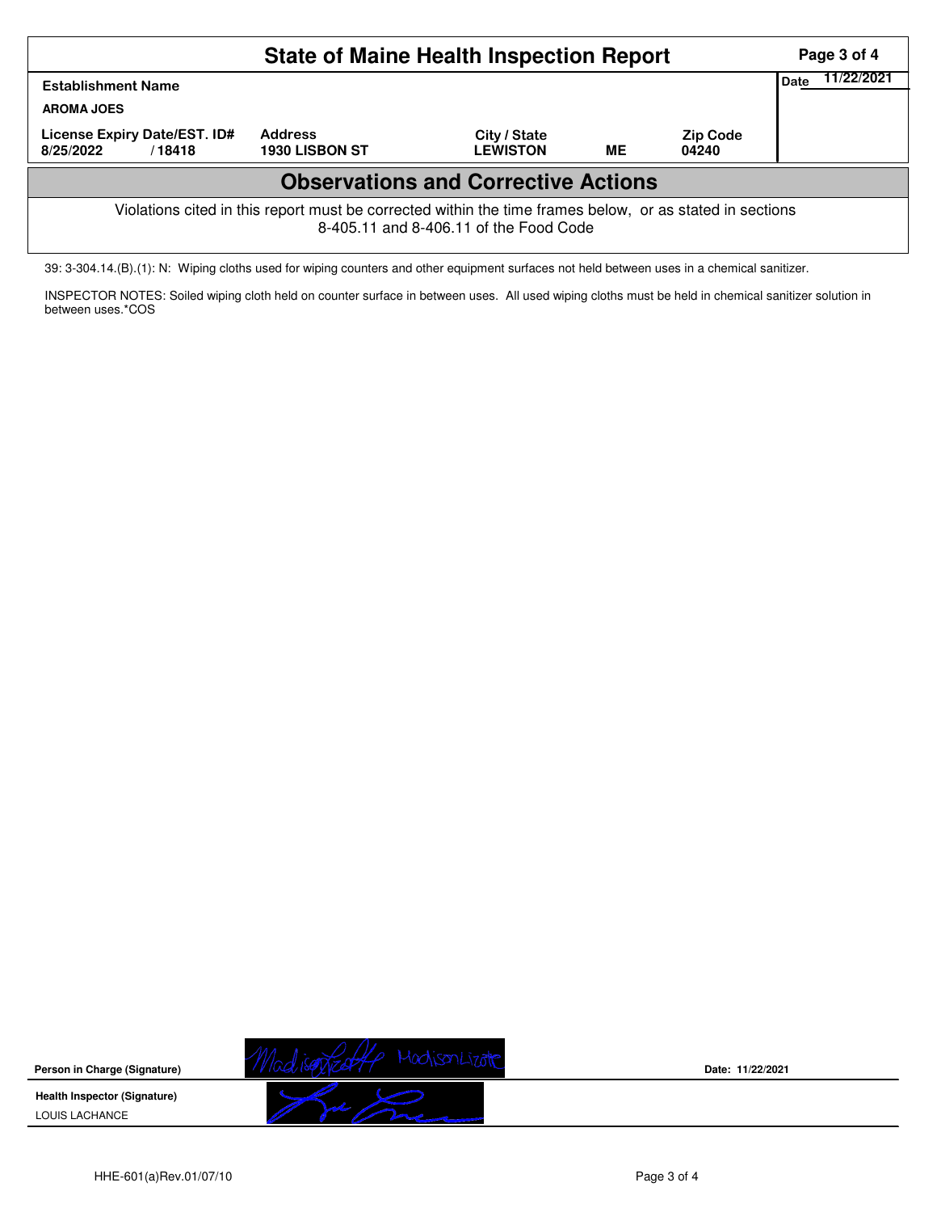|                                                                                                                                                    |                                         | Page 3 of 4                     |           |                          |  |  |  |  |  |  |
|----------------------------------------------------------------------------------------------------------------------------------------------------|-----------------------------------------|---------------------------------|-----------|--------------------------|--|--|--|--|--|--|
| <b>Establishment Name</b><br><b>AROMA JOES</b>                                                                                                     | Date                                    | 11/22/2021                      |           |                          |  |  |  |  |  |  |
| License Expiry Date/EST. ID#<br>8/25/2022<br>/18418                                                                                                | <b>Address</b><br><b>1930 LISBON ST</b> | City / State<br><b>LEWISTON</b> | <b>ME</b> | <b>Zip Code</b><br>04240 |  |  |  |  |  |  |
| <b>Observations and Corrective Actions</b>                                                                                                         |                                         |                                 |           |                          |  |  |  |  |  |  |
| Violations cited in this report must be corrected within the time frames below, or as stated in sections<br>8-405.11 and 8-406.11 of the Food Code |                                         |                                 |           |                          |  |  |  |  |  |  |

39: 3-304.14.(B).(1): N: Wiping cloths used for wiping counters and other equipment surfaces not held between uses in a chemical sanitizer.

INSPECTOR NOTES: Soiled wiping cloth held on counter surface in between uses. All used wiping cloths must be held in chemical sanitizer solution in between uses.\*COS

**Person in Charge (Signature) Health Inspector (Signature)**  LOUIS LACHANCE



**Date: 11/22/2021**